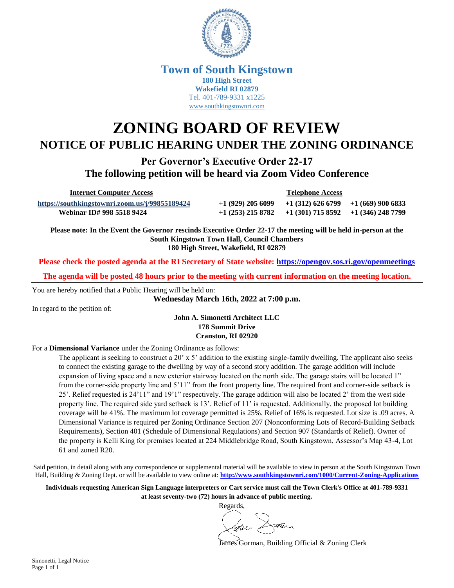

### **Town of South Kingstown 180 High Street Wakefield RI 02879** Tel. 401-789-9331 x1225 [www.southkingstownri.com](http://www.southkingstownri.com/)

# **ZONING BOARD OF REVIEW NOTICE OF PUBLIC HEARING UNDER THE ZONING ORDINANCE**

**Per Governor's Executive Order 22-17 The following petition will be heard via Zoom Video Conference**

 **Internet Computer Access Telephone Access**

**<https://southkingstownri.zoom.us/j/99855189424>** +**1 (929) 205 6099 +1 (312) 626 6799 +1 (669) 900 6833 Webinar ID# 998 5518 9424 +1 (253) 215 8782 +1 (301) 715 8592 +1 (346) 248 7799** 

**Please note: In the Event the Governor rescinds Executive Order 22-17 the meeting will be held in-person at the South Kingstown Town Hall, Council Chambers 180 High Street, Wakefield, RI 02879**

**Please check the posted agenda at the RI Secretary of State website:<https://opengov.sos.ri.gov/openmeetings>**

**The agenda will be posted 48 hours prior to the meeting with current information on the meeting location.**

You are hereby notified that a Public Hearing will be held on:

**Wednesday March 16th, 2022 at 7:00 p.m.**

In regard to the petition of:

**John A. Simonetti Architect LLC 178 Summit Drive Cranston, RI 02920**

#### For a **Dimensional Variance** under the Zoning Ordinance as follows:

The applicant is seeking to construct a 20' x 5' addition to the existing single-family dwelling. The applicant also seeks to connect the existing garage to the dwelling by way of a second story addition. The garage addition will include expansion of living space and a new exterior stairway located on the north side. The garage stairs will be located 1" from the corner-side property line and 5'11" from the front property line. The required front and corner-side setback is 25'. Relief requested is 24'11" and 19'1" respectively. The garage addition will also be located 2' from the west side property line. The required side yard setback is 13'. Relief of 11' is requested. Additionally, the proposed lot building coverage will be 41%. The maximum lot coverage permitted is 25%. Relief of 16% is requested. Lot size is .09 acres. A Dimensional Variance is required per Zoning Ordinance Section 207 (Nonconforming Lots of Record-Building Setback Requirements), Section 401 (Schedule of Dimensional Regulations) and Section 907 (Standards of Relief). Owner of the property is Kelli King for premises located at 224 Middlebridge Road, South Kingstown, Assessor's Map 43-4, Lot 61 and zoned R20.

Said petition, in detail along with any correspondence or supplemental material will be available to view in person at the South Kingstown Town Hall, Building & Zoning Dept. or will be available to view online at: **<http://www.southkingstownri.com/1000/Current-Zoning-Applications>**

**Individuals requesting American Sign Language interpreters or Cart service must call the Town Clerk's Office at 401-789-9331 at least seventy-two (72) hours in advance of public meeting.**

Regards,  $\mathbb{X}$ atura laru -

James Gorman, Building Official & Zoning Clerk